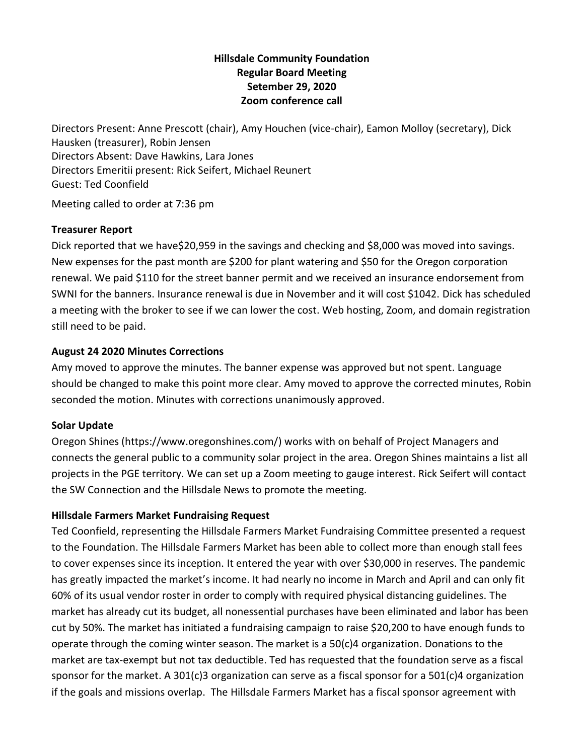# **Hillsdale Community Foundation Regular Board Meeting Setember 29, 2020 Zoom conference call**

Directors Present: Anne Prescott (chair), Amy Houchen (vice-chair), Eamon Molloy (secretary), Dick Hausken (treasurer), Robin Jensen Directors Absent: Dave Hawkins, Lara Jones Directors Emeritii present: Rick Seifert, Michael Reunert Guest: Ted Coonfield

Meeting called to order at 7:36 pm

### **Treasurer Report**

Dick reported that we have\$20,959 in the savings and checking and \$8,000 was moved into savings. New expenses for the past month are \$200 for plant watering and \$50 for the Oregon corporation renewal. We paid \$110 for the street banner permit and we received an insurance endorsement from SWNI for the banners. Insurance renewal is due in November and it will cost \$1042. Dick has scheduled a meeting with the broker to see if we can lower the cost. Web hosting, Zoom, and domain registration still need to be paid.

# **August 24 2020 Minutes Corrections**

Amy moved to approve the minutes. The banner expense was approved but not spent. Language should be changed to make this point more clear. Amy moved to approve the corrected minutes, Robin seconded the motion. Minutes with corrections unanimously approved.

### **Solar Update**

Oregon Shines (https://www.oregonshines.com/) works with on behalf of Project Managers and connects the general public to a community solar project in the area. Oregon Shines maintains a list all projects in the PGE territory. We can set up a Zoom meeting to gauge interest. Rick Seifert will contact the SW Connection and the Hillsdale News to promote the meeting.

# **Hillsdale Farmers Market Fundraising Request**

Ted Coonfield, representing the Hillsdale Farmers Market Fundraising Committee presented a request to the Foundation. The Hillsdale Farmers Market has been able to collect more than enough stall fees to cover expenses since its inception. It entered the year with over \$30,000 in reserves. The pandemic has greatly impacted the market's income. It had nearly no income in March and April and can only fit 60% of its usual vendor roster in order to comply with required physical distancing guidelines. The market has already cut its budget, all nonessential purchases have been eliminated and labor has been cut by 50%. The market has initiated a fundraising campaign to raise \$20,200 to have enough funds to operate through the coming winter season. The market is a 50(c)4 organization. Donations to the market are tax-exempt but not tax deductible. Ted has requested that the foundation serve as a fiscal sponsor for the market. A 301(c)3 organization can serve as a fiscal sponsor for a 501(c)4 organization if the goals and missions overlap. The Hillsdale Farmers Market has a fiscal sponsor agreement with